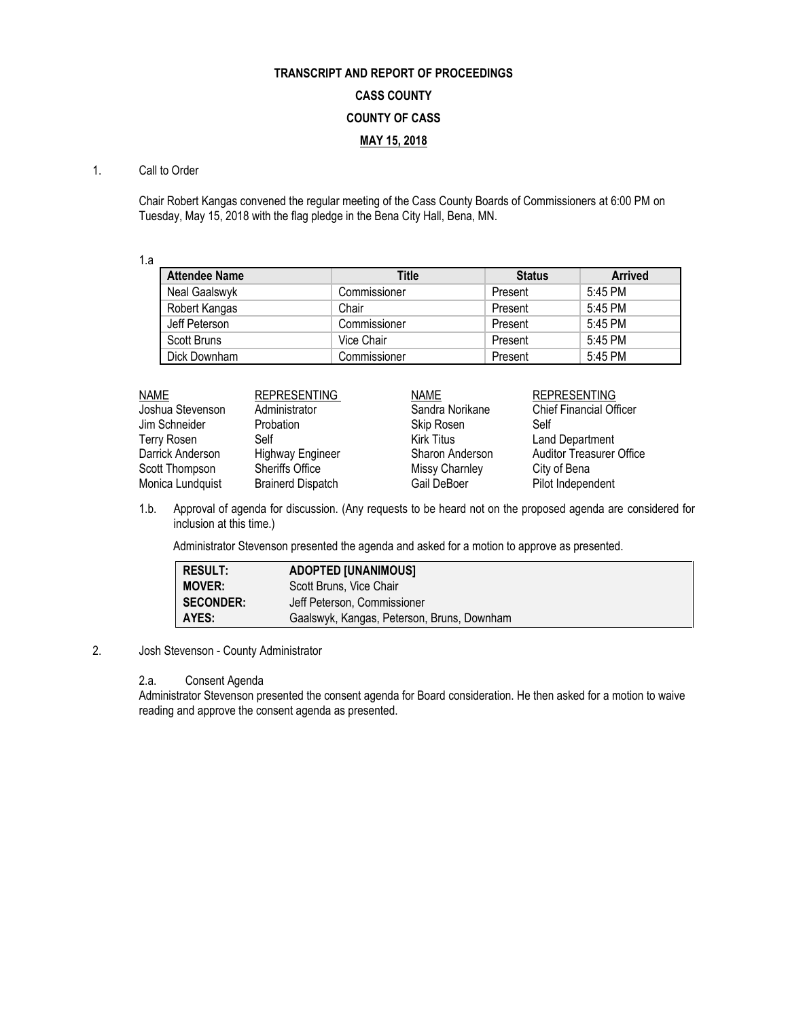## **TRANSCRIPT AND REPORT OF PROCEEDINGS CASS COUNTY COUNTY OF CASS MAY 15, 2018**

## 1. Call to Order

Chair Robert Kangas convened the regular meeting of the Cass County Boards of Commissioners at 6:00 PM on Tuesday, May 15, 2018 with the flag pledge in the Bena City Hall, Bena, MN.

1.a

| <b>Attendee Name</b> | Title        | <b>Status</b> | <b>Arrived</b> |
|----------------------|--------------|---------------|----------------|
| Neal Gaalswyk        | Commissioner | Present       | 5:45 PM        |
| Robert Kangas        | Chair        | Present       | 5:45 PM        |
| Jeff Peterson        | Commissioner | Present       | 5:45 PM        |
| Scott Bruns          | Vice Chair   | Present       | 5:45 PM        |
| Dick Downham         | Commissioner | Present       | 5:45 PM        |

| NAME             | <b>REPRESENTING</b>      | <b>NAME</b>     | <b>REPRESENTING</b>             |
|------------------|--------------------------|-----------------|---------------------------------|
| Joshua Stevenson | Administrator            | Sandra Norikane | <b>Chief Financial Officer</b>  |
| Jim Schneider    | Probation                | Skip Rosen      | Self                            |
| Terry Rosen      | Self                     | Kirk Titus      | <b>Land Department</b>          |
| Darrick Anderson | <b>Highway Engineer</b>  | Sharon Anderson | <b>Auditor Treasurer Office</b> |
| Scott Thompson   | <b>Sheriffs Office</b>   | Missy Charnley  | City of Bena                    |
| Monica Lundquist | <b>Brainerd Dispatch</b> | Gail DeBoer     | Pilot Independent               |

1.b. Approval of agenda for discussion. (Any requests to be heard not on the proposed agenda are considered for inclusion at this time.)

Administrator Stevenson presented the agenda and asked for a motion to approve as presented.

| <b>RESULT:</b>   | <b>ADOPTED [UNANIMOUS]</b>                 |
|------------------|--------------------------------------------|
| <b>MOVER:</b>    | Scott Bruns, Vice Chair                    |
| <b>SECONDER:</b> | Jeff Peterson. Commissioner                |
| AYES:            | Gaalswyk, Kangas, Peterson, Bruns, Downham |

2. Josh Stevenson - County Administrator

## 2.a. Consent Agenda

Administrator Stevenson presented the consent agenda for Board consideration. He then asked for a motion to waive reading and approve the consent agenda as presented.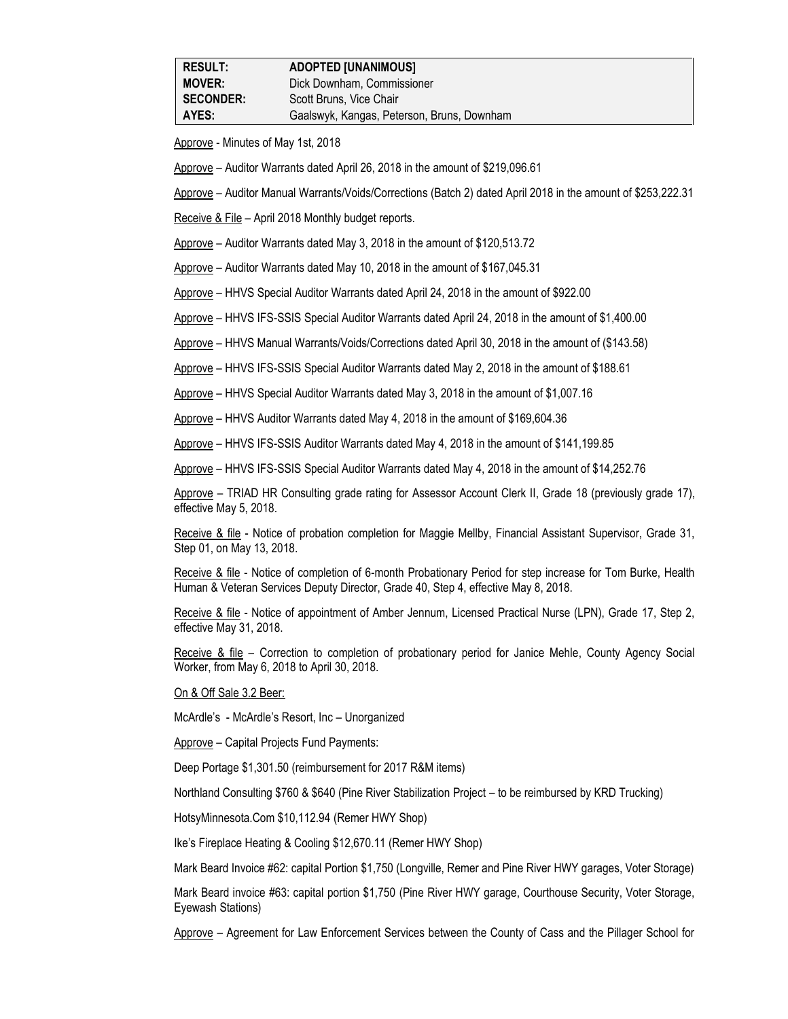Approve - Minutes of May 1st, 2018

Approve – Auditor Warrants dated April 26, 2018 in the amount of \$219,096.61

Approve – Auditor Manual Warrants/Voids/Corrections (Batch 2) dated April 2018 in the amount of \$253,222.31

Receive & File – April 2018 Monthly budget reports.

Approve – Auditor Warrants dated May 3, 2018 in the amount of \$120,513.72

Approve – Auditor Warrants dated May 10, 2018 in the amount of \$167,045.31

Approve – HHVS Special Auditor Warrants dated April 24, 2018 in the amount of \$922.00

Approve – HHVS IFS-SSIS Special Auditor Warrants dated April 24, 2018 in the amount of \$1,400.00

Approve – HHVS Manual Warrants/Voids/Corrections dated April 30, 2018 in the amount of (\$143.58)

Approve – HHVS IFS-SSIS Special Auditor Warrants dated May 2, 2018 in the amount of \$188.61

Approve – HHVS Special Auditor Warrants dated May 3, 2018 in the amount of \$1,007.16

Approve – HHVS Auditor Warrants dated May 4, 2018 in the amount of \$169,604.36

Approve – HHVS IFS-SSIS Auditor Warrants dated May 4, 2018 in the amount of \$141,199.85

Approve – HHVS IFS-SSIS Special Auditor Warrants dated May 4, 2018 in the amount of \$14,252.76

Approve – TRIAD HR Consulting grade rating for Assessor Account Clerk II, Grade 18 (previously grade 17), effective May 5, 2018.

Receive & file - Notice of probation completion for Maggie Mellby, Financial Assistant Supervisor, Grade 31, Step 01, on May 13, 2018.

Receive & file - Notice of completion of 6-month Probationary Period for step increase for Tom Burke, Health Human & Veteran Services Deputy Director, Grade 40, Step 4, effective May 8, 2018.

Receive & file - Notice of appointment of Amber Jennum, Licensed Practical Nurse (LPN), Grade 17, Step 2, effective May 31, 2018.

Receive & file – Correction to completion of probationary period for Janice Mehle, County Agency Social Worker, from May 6, 2018 to April 30, 2018.

On & Off Sale 3.2 Beer:

McArdle's - McArdle's Resort, Inc – Unorganized

Approve – Capital Projects Fund Payments:

Deep Portage \$1,301.50 (reimbursement for 2017 R&M items)

Northland Consulting \$760 & \$640 (Pine River Stabilization Project – to be reimbursed by KRD Trucking)

HotsyMinnesota.Com \$10,112.94 (Remer HWY Shop)

Ike's Fireplace Heating & Cooling \$12,670.11 (Remer HWY Shop)

Mark Beard Invoice #62: capital Portion \$1,750 (Longville, Remer and Pine River HWY garages, Voter Storage)

Mark Beard invoice #63: capital portion \$1,750 (Pine River HWY garage, Courthouse Security, Voter Storage, Eyewash Stations)

Approve – Agreement for Law Enforcement Services between the County of Cass and the Pillager School for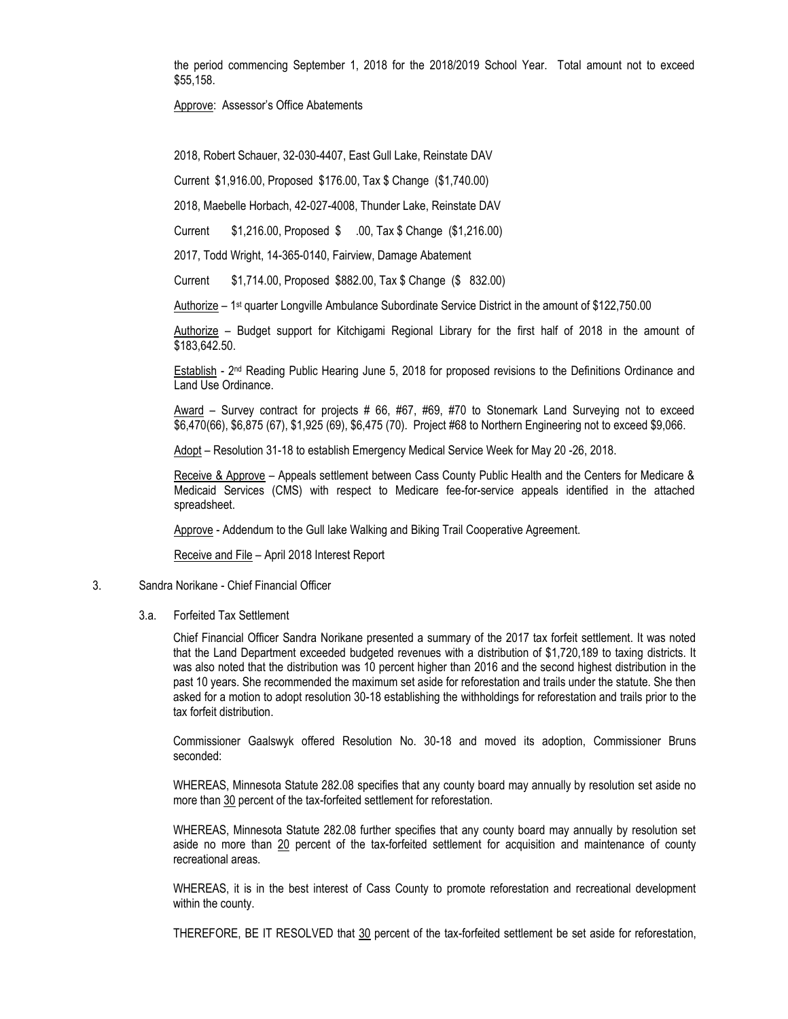the period commencing September 1, 2018 for the 2018/2019 School Year. Total amount not to exceed \$55,158.

Approve: Assessor's Office Abatements

2018, Robert Schauer, 32-030-4407, East Gull Lake, Reinstate DAV

Current \$1,916.00, Proposed \$176.00, Tax \$ Change (\$1,740.00)

2018, Maebelle Horbach, 42-027-4008, Thunder Lake, Reinstate DAV

Current \$1,216.00, Proposed \$ .00, Tax \$ Change (\$1,216.00)

2017, Todd Wright, 14-365-0140, Fairview, Damage Abatement

Current \$1,714.00, Proposed \$882.00, Tax \$ Change (\$ 832.00)

Authorize – 1st quarter Longville Ambulance Subordinate Service District in the amount of \$122,750.00

Authorize – Budget support for Kitchigami Regional Library for the first half of 2018 in the amount of \$183,642.50.

Establish - 2<sup>nd</sup> Reading Public Hearing June 5, 2018 for proposed revisions to the Definitions Ordinance and Land Use Ordinance.

Award – Survey contract for projects # 66, #67, #69, #70 to Stonemark Land Surveying not to exceed \$6,470(66), \$6,875 (67), \$1,925 (69), \$6,475 (70). Project #68 to Northern Engineering not to exceed \$9,066.

Adopt – Resolution 31-18 to establish Emergency Medical Service Week for May 20 -26, 2018.

Receive & Approve – Appeals settlement between Cass County Public Health and the Centers for Medicare & Medicaid Services (CMS) with respect to Medicare fee-for-service appeals identified in the attached spreadsheet.

Approve - Addendum to the Gull lake Walking and Biking Trail Cooperative Agreement.

Receive and File – April 2018 Interest Report

## 3. Sandra Norikane - Chief Financial Officer

3.a. Forfeited Tax Settlement

Chief Financial Officer Sandra Norikane presented a summary of the 2017 tax forfeit settlement. It was noted that the Land Department exceeded budgeted revenues with a distribution of \$1,720,189 to taxing districts. It was also noted that the distribution was 10 percent higher than 2016 and the second highest distribution in the past 10 years. She recommended the maximum set aside for reforestation and trails under the statute. She then asked for a motion to adopt resolution 30-18 establishing the withholdings for reforestation and trails prior to the tax forfeit distribution.

Commissioner Gaalswyk offered Resolution No. 30-18 and moved its adoption, Commissioner Bruns seconded:

WHEREAS, Minnesota Statute 282.08 specifies that any county board may annually by resolution set aside no more than 30 percent of the tax-forfeited settlement for reforestation.

WHEREAS, Minnesota Statute 282.08 further specifies that any county board may annually by resolution set aside no more than 20 percent of the tax-forfeited settlement for acquisition and maintenance of county recreational areas.

WHEREAS, it is in the best interest of Cass County to promote reforestation and recreational development within the county.

THEREFORE, BE IT RESOLVED that 30 percent of the tax-forfeited settlement be set aside for reforestation,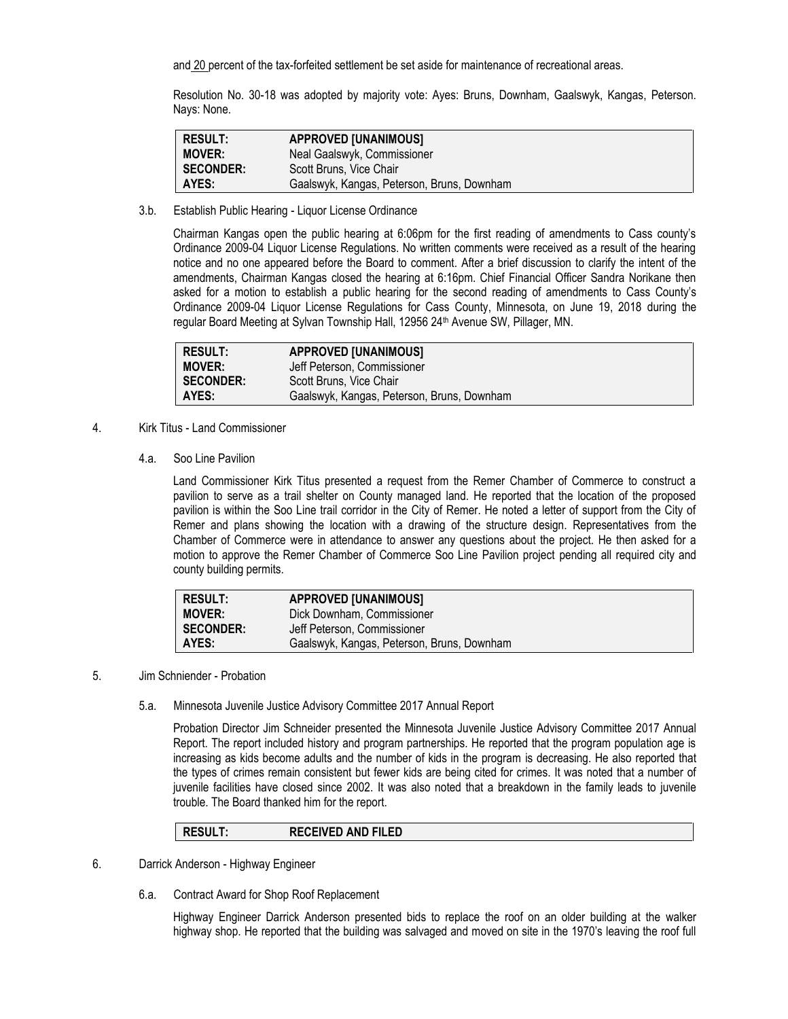and 20 percent of the tax-forfeited settlement be set aside for maintenance of recreational areas.

Resolution No. 30-18 was adopted by majority vote: Ayes: Bruns, Downham, Gaalswyk, Kangas, Peterson. Nays: None.

| RESULT:       | <b>APPROVED [UNANIMOUS]</b>                |
|---------------|--------------------------------------------|
| <b>MOVER:</b> | Neal Gaalswyk, Commissioner                |
| SECONDER:     | Scott Bruns, Vice Chair                    |
| <b>AYES:</b>  | Gaalswyk, Kangas, Peterson, Bruns, Downham |

3.b. Establish Public Hearing - Liquor License Ordinance

Chairman Kangas open the public hearing at 6:06pm for the first reading of amendments to Cass county's Ordinance 2009-04 Liquor License Regulations. No written comments were received as a result of the hearing notice and no one appeared before the Board to comment. After a brief discussion to clarify the intent of the amendments, Chairman Kangas closed the hearing at 6:16pm. Chief Financial Officer Sandra Norikane then asked for a motion to establish a public hearing for the second reading of amendments to Cass County's Ordinance 2009-04 Liquor License Regulations for Cass County, Minnesota, on June 19, 2018 during the regular Board Meeting at Sylvan Township Hall, 12956 24<sup>th</sup> Avenue SW, Pillager, MN.

| <b>RESULT:</b>   | <b>APPROVED [UNANIMOUS]</b>                |
|------------------|--------------------------------------------|
| <b>MOVER:</b>    | Jeff Peterson, Commissioner                |
| <b>SECONDER:</b> | Scott Bruns, Vice Chair                    |
| AYES:            | Gaalswyk, Kangas, Peterson, Bruns, Downham |

- 4. Kirk Titus Land Commissioner
	- 4.a. Soo Line Pavilion

Land Commissioner Kirk Titus presented a request from the Remer Chamber of Commerce to construct a pavilion to serve as a trail shelter on County managed land. He reported that the location of the proposed pavilion is within the Soo Line trail corridor in the City of Remer. He noted a letter of support from the City of Remer and plans showing the location with a drawing of the structure design. Representatives from the Chamber of Commerce were in attendance to answer any questions about the project. He then asked for a motion to approve the Remer Chamber of Commerce Soo Line Pavilion project pending all required city and county building permits.

| <b>RESULT:</b>   | <b>APPROVED [UNANIMOUS]</b>                |
|------------------|--------------------------------------------|
| <b>MOVER:</b>    | Dick Downham, Commissioner                 |
| <b>SECONDER:</b> | Jeff Peterson. Commissioner                |
| AYES:            | Gaalswyk, Kangas, Peterson, Bruns, Downham |

- 5. Jim Schniender Probation
	- 5.a. Minnesota Juvenile Justice Advisory Committee 2017 Annual Report

Probation Director Jim Schneider presented the Minnesota Juvenile Justice Advisory Committee 2017 Annual Report. The report included history and program partnerships. He reported that the program population age is increasing as kids become adults and the number of kids in the program is decreasing. He also reported that the types of crimes remain consistent but fewer kids are being cited for crimes. It was noted that a number of juvenile facilities have closed since 2002. It was also noted that a breakdown in the family leads to juvenile trouble. The Board thanked him for the report.

**RESULT: RECEIVED AND FILED**

- 6. Darrick Anderson Highway Engineer
	- 6.a. Contract Award for Shop Roof Replacement

Highway Engineer Darrick Anderson presented bids to replace the roof on an older building at the walker highway shop. He reported that the building was salvaged and moved on site in the 1970's leaving the roof full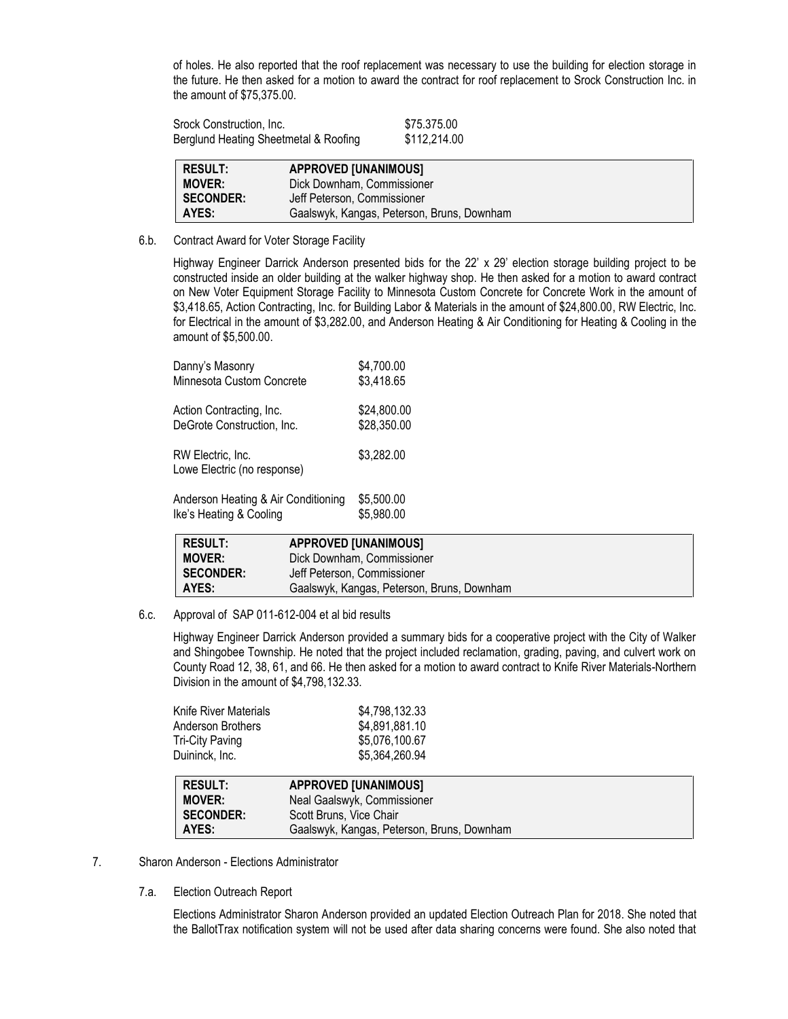of holes. He also reported that the roof replacement was necessary to use the building for election storage in the future. He then asked for a motion to award the contract for roof replacement to Srock Construction Inc. in the amount of \$75,375.00.

| Srock Construction, Inc.              | \$75.375.00  |
|---------------------------------------|--------------|
| Berglund Heating Sheetmetal & Roofing | \$112,214.00 |

| <b>RESULT:</b>   | <b>APPROVED [UNANIMOUS]</b>                |
|------------------|--------------------------------------------|
| <b>MOVER:</b>    | Dick Downham, Commissioner                 |
| <b>SECONDER:</b> | Jeff Peterson, Commissioner                |
| AYES:            | Gaalswyk, Kangas, Peterson, Bruns, Downham |

6.b. Contract Award for Voter Storage Facility

Highway Engineer Darrick Anderson presented bids for the 22' x 29' election storage building project to be constructed inside an older building at the walker highway shop. He then asked for a motion to award contract on New Voter Equipment Storage Facility to Minnesota Custom Concrete for Concrete Work in the amount of \$3,418.65, Action Contracting, Inc. for Building Labor & Materials in the amount of \$24,800.00, RW Electric, Inc. for Electrical in the amount of \$3,282.00, and Anderson Heating & Air Conditioning for Heating & Cooling in the amount of \$5,500.00.

| Danny's Masonry                                  | \$4,700.00  |
|--------------------------------------------------|-------------|
| Minnesota Custom Concrete                        | \$3,418.65  |
| Action Contracting, Inc.                         | \$24,800.00 |
| DeGrote Construction, Inc.                       | \$28,350.00 |
| RW Electric, Inc.<br>Lowe Electric (no response) | \$3,282.00  |
| Anderson Heating & Air Conditioning              | \$5,500.00  |
| Ike's Heating & Cooling                          | \$5,980.00  |

| <b>RESULT:</b>   | <b>APPROVED [UNANIMOUS]</b>                |
|------------------|--------------------------------------------|
| <b>MOVER:</b>    | Dick Downham, Commissioner                 |
| <b>SECONDER:</b> | Jeff Peterson, Commissioner                |
| AYES:            | Gaalswyk, Kangas, Peterson, Bruns, Downham |

6.c. Approval of SAP 011-612-004 et al bid results

Highway Engineer Darrick Anderson provided a summary bids for a cooperative project with the City of Walker and Shingobee Township. He noted that the project included reclamation, grading, paving, and culvert work on County Road 12, 38, 61, and 66. He then asked for a motion to award contract to Knife River Materials-Northern Division in the amount of \$4,798,132.33.

| \$4,798,132.33 |
|----------------|
| \$4,891,881.10 |
| \$5,076,100.67 |
| \$5,364,260.94 |
|                |

| <b>RESULT:</b>   | <b>APPROVED [UNANIMOUS]</b>                |
|------------------|--------------------------------------------|
| <b>MOVER:</b>    | Neal Gaalswyk, Commissioner                |
| <b>SECONDER:</b> | Scott Bruns, Vice Chair                    |
| AYES:            | Gaalswyk, Kangas, Peterson, Bruns, Downham |

- 7. Sharon Anderson Elections Administrator
	- 7.a. Election Outreach Report

Elections Administrator Sharon Anderson provided an updated Election Outreach Plan for 2018. She noted that the BallotTrax notification system will not be used after data sharing concerns were found. She also noted that